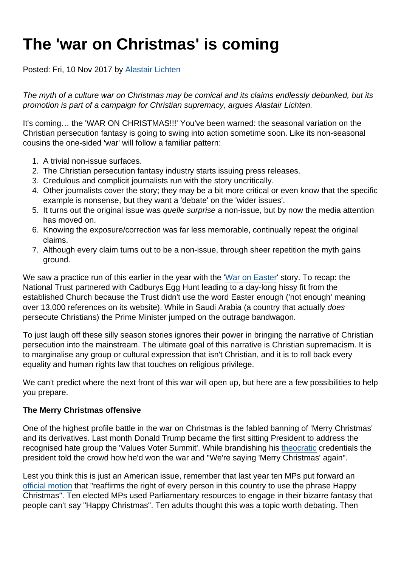# The 'war on Christmas' is coming

Posted: Fri, 10 Nov 2017 by [Alastair Lichten](https://www.secularism.org.uk/opinion/authors/847)

The myth of a culture war on Christmas may be comical and its claims endlessly debunked, but its promotion is part of a campaign for Christian supremacy, argues Alastair Lichten.

It's coming… the 'WAR ON CHRISTMAS!!!' You've been warned: the seasonal variation on the Christian persecution fantasy is going to swing into action sometime soon. Like its non-seasonal cousins the one-sided 'war' will follow a familiar pattern:

- 1. A trivial non-issue surfaces.
- 2. The Christian persecution fantasy industry starts issuing press releases.
- 3. Credulous and complicit journalists run with the story uncritically.
- 4. Other journalists cover the story; they may be a bit more critical or even know that the specific example is nonsense, but they want a 'debate' on the 'wider issues'.
- 5. It turns out the original issue was quelle surprise a non-issue, but by now the media attention has moved on.
- 6. Knowing the exposure/correction was far less memorable, continually repeat the original claims.
- 7. Although every claim turns out to be a non-issue, through sheer repetition the myth gains ground.

We saw a practice run of this earlier in the year with the '[War on Easter](https://www.secularism.org.uk/opinion/2017/04/prime-minister-and-cofe-promote-fake-war-on-easter)' story. To recap: the National Trust partnered with Cadburys Egg Hunt leading to a day-long hissy fit from the established Church because the Trust didn't use the word Easter enough ('not enough' meaning over 13,000 references on its website). While in Saudi Arabia (a country that actually does persecute Christians) the Prime Minister jumped on the outrage bandwagon.

To just laugh off these silly season stories ignores their power in bringing the narrative of Christian persecution into the mainstream. The ultimate goal of this narrative is Christian supremacism. It is to marginalise any group or cultural expression that isn't Christian, and it is to roll back every equality and human rights law that touches on religious privilege.

We can't predict where the next front of this war will open up, but here are a few possibilities to help you prepare.

## The Merry Christmas offensive

One of the highest profile battle in the war on Christmas is the fabled banning of 'Merry Christmas' and its derivatives. Last month Donald Trump became the first sitting President to address the recognised hate group the 'Values Voter Summit'. While brandishing his [theocratic](https://www.secularism.org.uk/opinion/2017/01/president-trump--american-theocrat) credentials the president told the crowd how he'd won the war and "We're saying 'Merry Christmas' again".

Lest you think this is just an American issue, remember that last year ten MPs put forward an [official motion](https://www.parliament.uk/edm/2016-17/805) that "reaffirms the right of every person in this country to use the phrase Happy Christmas". Ten elected MPs used Parliamentary resources to engage in their bizarre fantasy that people can't say "Happy Christmas". Ten adults thought this was a topic worth debating. Then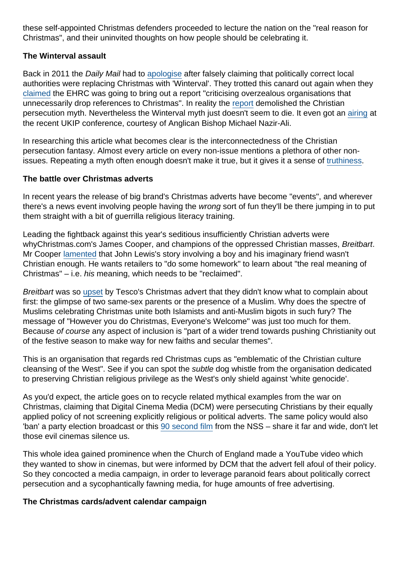these self-appointed Christmas defenders proceeded to lecture the nation on the "real reason for Christmas", and their uninvited thoughts on how people should be celebrating it.

#### The Winterval assault

Back in 2011 the Daily Mail had to [apologise](http://www.dailymail.co.uk/home/article-2058830/Clarifications-corrections.html) after falsely claiming that politically correct local authorities were replacing Christmas with 'Winterval'. They trotted this canard out again when they [claimed](http://www.dailymail.co.uk/news/article-3974744/Hallelujah-Equalities-watchdog-says-persecution-Christians-end-blasts-Lord-s-Prayer-film-ban.html) the EHRC was going to bring out a report "criticising overzealous organisations that unnecessarily drop references to Christmas". In reality the [report](https://www.secularism.org.uk/news/2016/12/major-new-equality-report-rejects-calls-for-conscience-clause-to-allow-religious-discrimination) demolished the Christian persecution myth. Nevertheless the Winterval myth just doesn't seem to die. It even got an [airing](https://twitter.com/peterwalker99/status/913718875057016832) at the recent UKIP conference, courtesy of Anglican Bishop Michael Nazir-Ali.

In researching this article what becomes clear is the interconnectedness of the Christian persecution fantasy. Almost every article on every non-issue mentions a plethora of other nonissues. Repeating a myth often enough doesn't make it true, but it gives it a sense of [truthiness](https://en.wikipedia.org/wiki/Truthiness).

#### The battle over Christmas adverts

In recent years the release of big brand's Christmas adverts have become "events", and wherever there's a news event involving people having the wrong sort of fun they'll be there jumping in to put them straight with a bit of guerrilla religious literacy training.

Leading the fightback against this year's seditious insufficiently Christian adverts were whyChristmas.com's James Cooper, and champions of the oppressed Christian masses, Breitbart. Mr Cooper [lamented](https://www.premier.org.uk/News/UK/Retailers-urged-to-do-homework-as-John-Lewis-unveils-Christmas-advert) that John Lewis's story involving a boy and his imaginary friend wasn't Christian enough. He wants retailers to "do some homework" to learn about "the real meaning of Christmas" – i.e. his meaning, which needs to be "reclaimed".

Breitbart was so [upset](http://www.breitbart.com/london/2017/11/08/tesco-christmas-ad-features-sikhs-gay-dads-hijabi-muslims-but-no-visible-christianity/) by Tesco's Christmas advert that they didn't know what to complain about first: the glimpse of two same-sex parents or the presence of a Muslim. Why does the spectre of Muslims celebrating Christmas unite both Islamists and anti-Muslim bigots in such fury? The message of "However you do Christmas, Everyone's Welcome" was just too much for them. Because of course any aspect of inclusion is "part of a wider trend towards pushing Christianity out of the festive season to make way for new faiths and secular themes".

This is an organisation that regards red Christmas cups as "emblematic of the Christian culture cleansing of the West". See if you can spot the subtle dog whistle from the organisation dedicated to preserving Christian religious privilege as the West's only shield against 'white genocide'.

As you'd expect, the article goes on to recycle related mythical examples from the war on Christmas, claiming that Digital Cinema Media (DCM) were persecuting Christians by their equally applied policy of not screening explicitly religious or political adverts. The same policy would also 'ban' a party election broadcast or this [90 second film](https://www.youtube.com/watch?v=n5q8eHfqOEE&feature=youtu.be) from the NSS – share it far and wide, don't let those evil cinemas silence us.

This whole idea gained prominence when the Church of England made a YouTube video which they wanted to show in cinemas, but were informed by DCM that the advert fell afoul of their policy. So they concocted a media campaign, in order to leverage paranoid fears about politically correct persecution and a sycophantically fawning media, for huge amounts of free advertising.

The Christmas cards/advent calendar campaign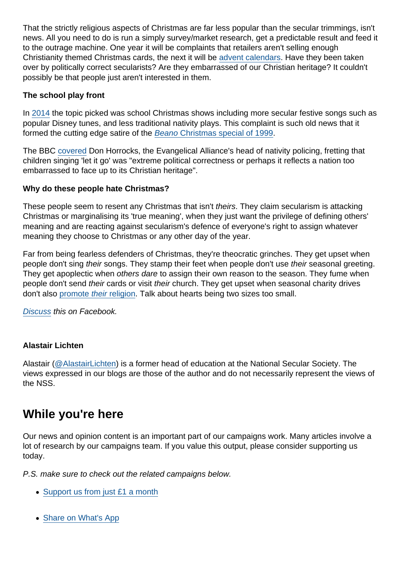That the strictly religious aspects of Christmas are far less popular than the secular trimmings, isn't news. All you need to do is run a simply survey/market research, get a predictable result and feed it to the outrage machine. One year it will be complaints that retailers aren't selling enough Christianity themed Christmas cards, the next it will be [advent calendars.](https://www.premierchristianradio.com/News/UK/Christian-chocolate-factory-launches-children-s-advent-contest) Have they been taken over by politically correct secularists? Are they embarrassed of our Christian heritage? It couldn't possibly be that people just aren't interested in them.

The school play front

In [2014](https://www.secularism.org.uk/opinion/2014/12/the-christmas-nativity--let-it-go-let-it-go) the topic picked was school Christmas shows including more secular festive songs such as popular Disney tunes, and less traditional nativity plays. This complaint is such old news that it formed the cutting edge satire of the [Beano Christmas special of 1999.](https://signorestudios.blogspot.co.uk/2011/12/mike-pearse-great-bash-street-nativity.html)

The BBC [covered](http://www.bbc.co.uk/news/education-30277344) Don Horrocks, the Evangelical Alliance's head of nativity policing, fretting that children singing 'let it go' was "extreme political correctness or perhaps it reflects a nation too embarrassed to face up to its Christian heritage".

Why do these people hate Christmas?

These people seem to resent any Christmas that isn't theirs. They claim secularism is attacking Christmas or marginalising its 'true meaning', when they just want the privilege of defining others' meaning and are reacting against secularism's defence of everyone's right to assign whatever meaning they choose to Christmas or any other day of the year.

Far from being fearless defenders of Christmas, they're theocratic grinches. They get upset when people don't sing their songs. They stamp their feet when people don't use their seasonal greeting. They get apoplectic when others dare to assign their own reason to the season. They fume when people don't send their cards or visit their church. They get upset when seasonal charity drives don't also [promote their religion](https://www.secularism.org.uk/opinion/tags/Samaritans+Purse). Talk about hearts being two sizes too small.

[Discuss](https://www.facebook.com/NationalSecularSociety/posts/1548601678541511) this on Facebook.

## Alastair Lichten

Alastair [\(@AlastairLichten](https://twitter.com/alastairlichten)) is a former head of education at the National Secular Society. The views expressed in our blogs are those of the author and do not necessarily represent the views of the NSS.

# While you're here

Our news and opinion content is an important part of our campaigns work. Many articles involve a lot of research by our campaigns team. If you value this output, please consider supporting us today.

P.S. make sure to check out the related campaigns below.

- [Support us from just £1 a month](https://www.secularism.org.uk/donate.html)
- [Share on What's App](whatsapp://send?text=http://www.secularism.org.uk/opinion/2017/11/the-war-on-christmas-is-coming?format=pdf)